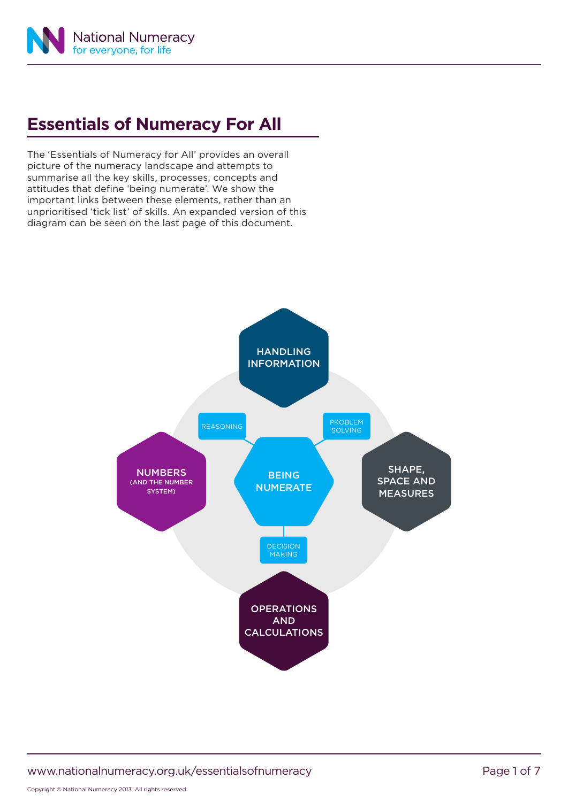

## **Essentials of Numeracy For All**

The 'Essentials of Numeracy for All' provides an overall picture of the numeracy landscape and attempts to summarise all the key skills, processes, concepts and attitudes that define 'being numerate'. We show the important links between these elements, rather than an unprioritised 'tick list' of skills. An expanded version of this diagram can be seen on the last page of this document.



www.nationalnumeracy.org.uk/essentialsofnumeracy example that the Page 1 of 7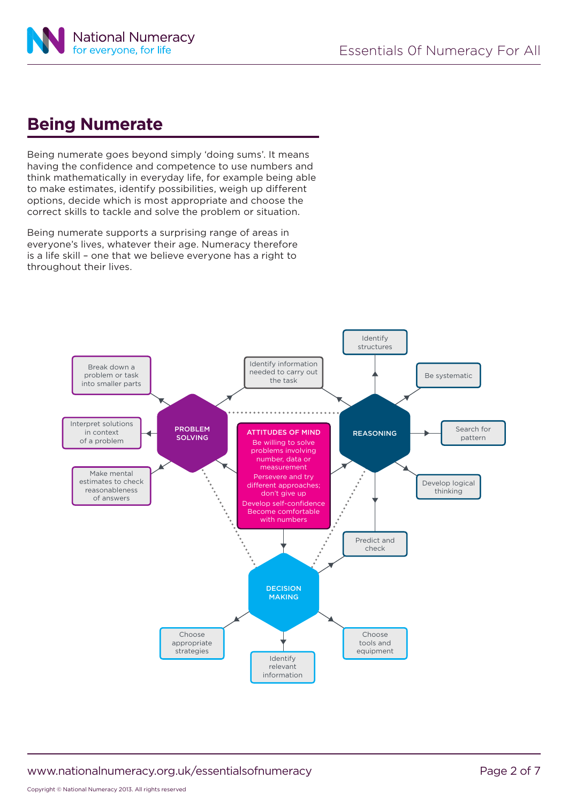

#### **Being Numerate**

Being numerate goes beyond simply 'doing sums'. It means having the confidence and competence to use numbers and think mathematically in everyday life, for example being able to make estimates, identify possibilities, weigh up different options, decide which is most appropriate and choose the correct skills to tackle and solve the problem or situation.

Being numerate supports a surprising range of areas in everyone's lives, whatever their age. Numeracy therefore is a life skill – one that we believe everyone has a right to throughout their lives.



www.nationalnumeracy.org.uk/essentialsofnumeracy example 2 of 7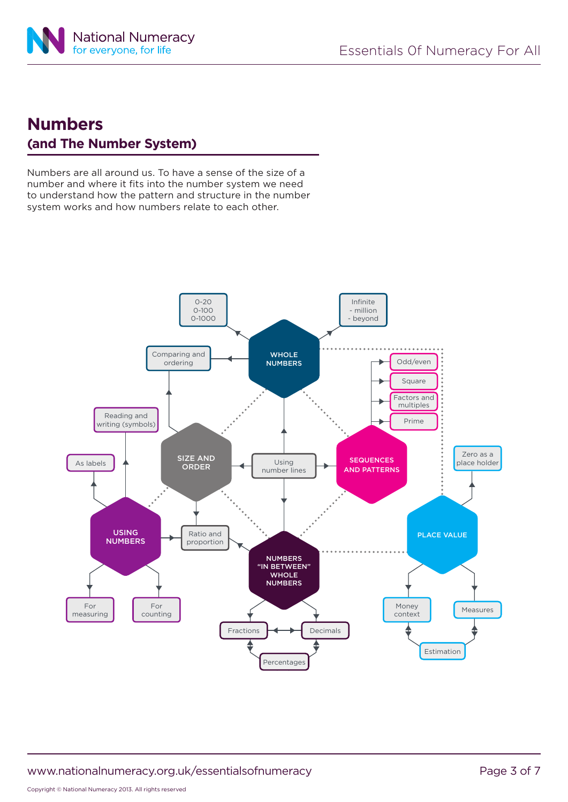

### **Numbers (and The Number System)**

Numbers are all around us. To have a sense of the size of a number and where it fits into the number system we need to understand how the pattern and structure in the number system works and how numbers relate to each other.

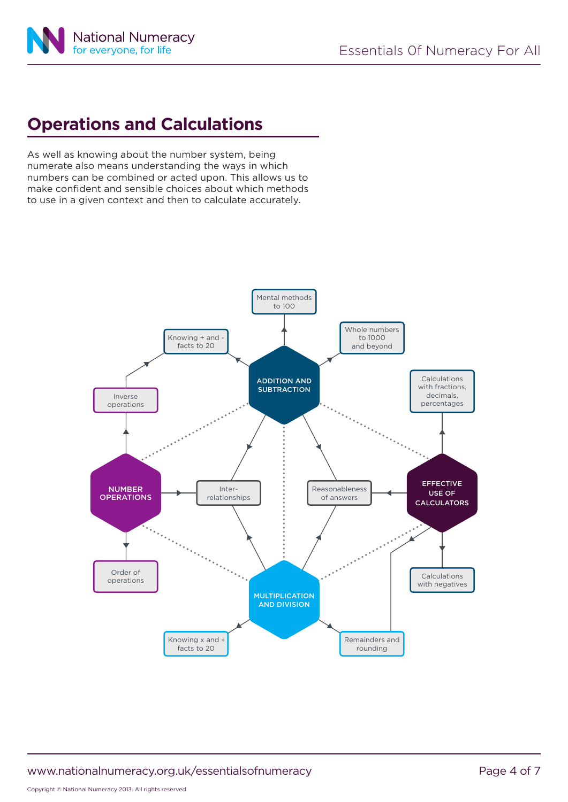

## **Operations and Calculations**

As well as knowing about the number system, being numerate also means understanding the ways in which numbers can be combined or acted upon. This allows us to make confident and sensible choices about which methods to use in a given context and then to calculate accurately.



www.nationalnumeracy.org.uk/essentialsofnumeracy example and the Page 4 of 7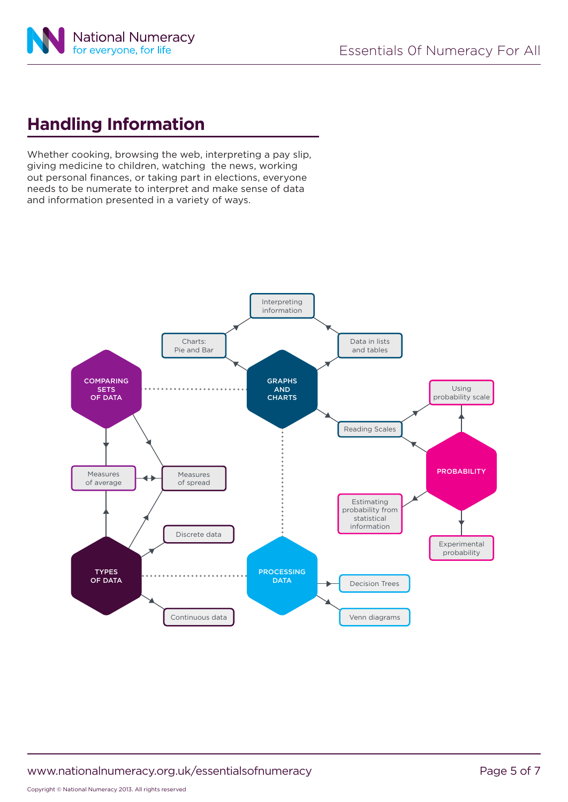

## **Handling Information**

Whether cooking, browsing the web, interpreting a pay slip, giving medicine to children, watching the news, working out personal finances, or taking part in elections, everyone needs to be numerate to interpret and make sense of data and information presented in a variety of ways.



www.nationalnumeracy.org.uk/essentialsofnumeracy example and the Page 5 of 7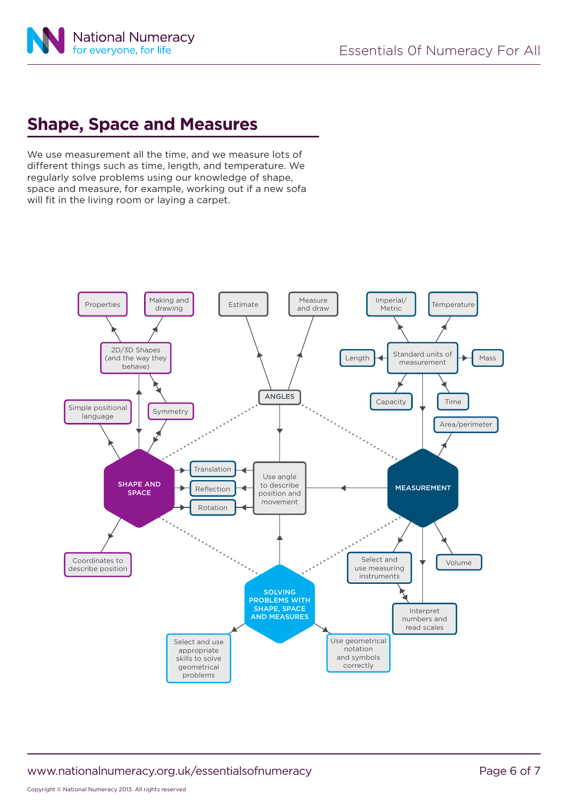### **Shape, Space and Measures**

We use measurement all the time, and we measure lots of different things such as time, length, and temperature. We regularly solve problems using our knowledge of shape, space and measure, for example, working out if a new sofa will fit in the living room or laying a carpet.